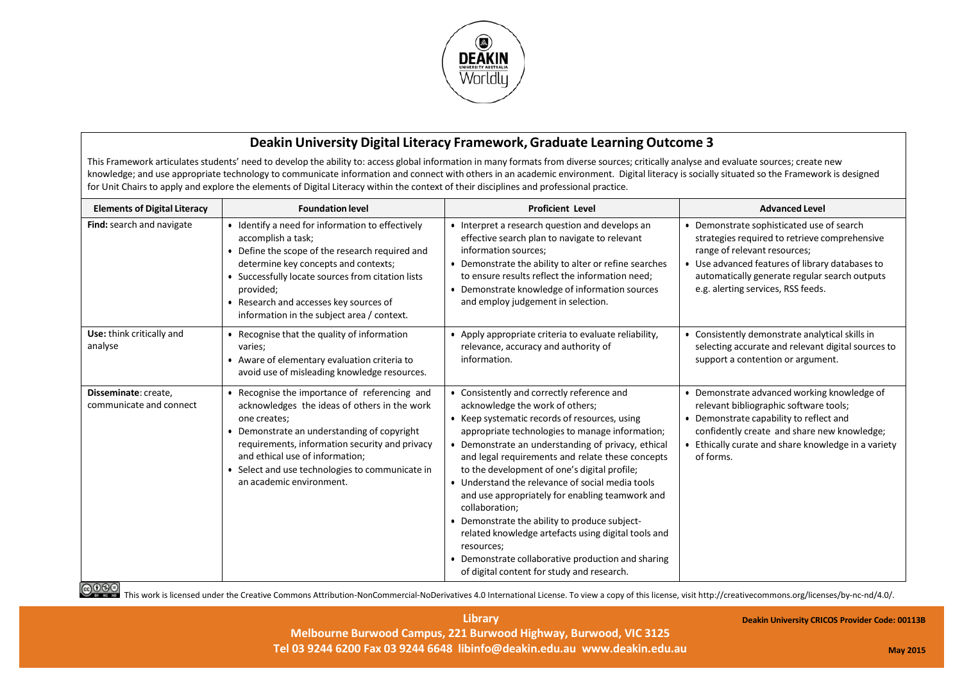

## **Deakin University Digital Literacy Framework,Graduate Learning Outcome 3**

This Framework articulates students' need to develop the ability to: access global information in many formats from diverse sources; critically analyse and evaluate sources; create new knowledge; and use appropriate technology to communicate information and connect with others in an academic environment. Digital literacy is socially situated so the Framework is designed for Unit Chairs to apply and explore the elements of Digital Literacy within the context of their disciplines and professional practice.

| <b>Elements of Digital Literacy</b>             | <b>Foundation level</b>                                                                                                                                                                                                                                                                                                          | <b>Proficient Level</b>                                                                                                                                                                                                                                                                                                                                                                                                                                                                                                                                                                                                                                                                        | <b>Advanced Level</b>                                                                                                                                                                                                                                                |
|-------------------------------------------------|----------------------------------------------------------------------------------------------------------------------------------------------------------------------------------------------------------------------------------------------------------------------------------------------------------------------------------|------------------------------------------------------------------------------------------------------------------------------------------------------------------------------------------------------------------------------------------------------------------------------------------------------------------------------------------------------------------------------------------------------------------------------------------------------------------------------------------------------------------------------------------------------------------------------------------------------------------------------------------------------------------------------------------------|----------------------------------------------------------------------------------------------------------------------------------------------------------------------------------------------------------------------------------------------------------------------|
| Find: search and navigate                       | • Identify a need for information to effectively<br>accomplish a task;<br>• Define the scope of the research required and<br>determine key concepts and contexts;<br>• Successfully locate sources from citation lists<br>provided;<br>• Research and accesses key sources of<br>information in the subject area / context.      | • Interpret a research question and develops an<br>effective search plan to navigate to relevant<br>information sources;<br>• Demonstrate the ability to alter or refine searches<br>to ensure results reflect the information need;<br>Demonstrate knowledge of information sources<br>and employ judgement in selection.                                                                                                                                                                                                                                                                                                                                                                     | • Demonstrate sophisticated use of search<br>strategies required to retrieve comprehensive<br>range of relevant resources;<br>• Use advanced features of library databases to<br>automatically generate regular search outputs<br>e.g. alerting services, RSS feeds. |
| Use: think critically and<br>analyse            | • Recognise that the quality of information<br>varies;<br>• Aware of elementary evaluation criteria to<br>avoid use of misleading knowledge resources.                                                                                                                                                                           | • Apply appropriate criteria to evaluate reliability,<br>relevance, accuracy and authority of<br>information.                                                                                                                                                                                                                                                                                                                                                                                                                                                                                                                                                                                  | • Consistently demonstrate analytical skills in<br>selecting accurate and relevant digital sources to<br>support a contention or argument.                                                                                                                           |
| Disseminate: create,<br>communicate and connect | • Recognise the importance of referencing and<br>acknowledges the ideas of others in the work<br>one creates;<br>• Demonstrate an understanding of copyright<br>requirements, information security and privacy<br>and ethical use of information;<br>• Select and use technologies to communicate in<br>an academic environment. | • Consistently and correctly reference and<br>acknowledge the work of others;<br>• Keep systematic records of resources, using<br>appropriate technologies to manage information;<br>• Demonstrate an understanding of privacy, ethical<br>and legal requirements and relate these concepts<br>to the development of one's digital profile;<br>• Understand the relevance of social media tools<br>and use appropriately for enabling teamwork and<br>collaboration;<br>• Demonstrate the ability to produce subject-<br>related knowledge artefacts using digital tools and<br>resources;<br>• Demonstrate collaborative production and sharing<br>of digital content for study and research. | • Demonstrate advanced working knowledge of<br>relevant bibliographic software tools;<br>• Demonstrate capability to reflect and<br>confidently create and share new knowledge;<br>• Ethically curate and share knowledge in a variety<br>of forms.                  |

GOOO<br>This work is licensed under the Creative Commons Attribution-NonCommercial-NoDerivatives 4.0 International License. To view a copy of this license, visit http://creativecommons.org/licenses/by-nc-nd/4.0/.

**Library Melbourne Burwood Campus, 221 Burwood Highway, Burwood, VIC 3125 Tel 03 9244 6200 Fax 03 9244 6648 [libinfo@deakin.edu.au](mailto:libinfo@deakin.edu.au) [www.deakin.edu.au](http://www.deakin.edu.au/)**

**Deakin University CRICOS Provider Code: 00113B**